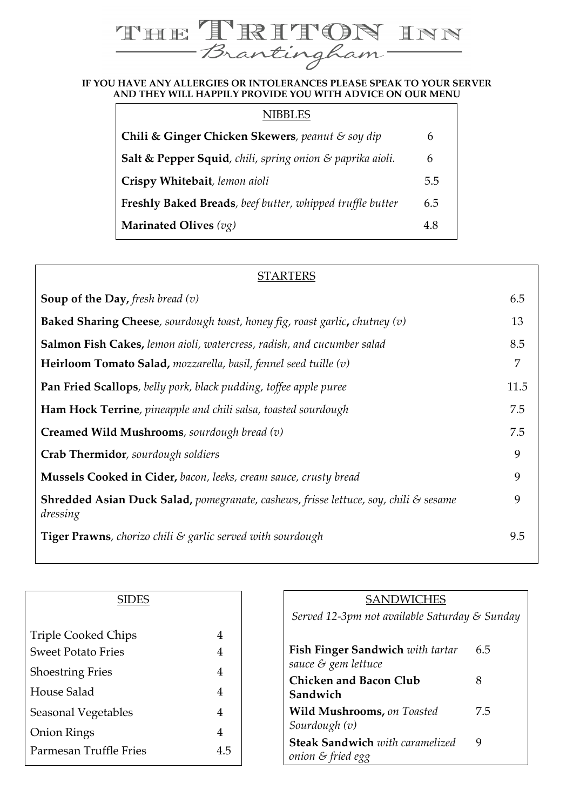## **IF HE IRITON INN**<br>Brantingham

## **AND THEY WILL HAPPILY PROVIDE YOU WITH ADVICE ON OUR MENU**

| <b>NIBBLES</b>                                                    |     |
|-------------------------------------------------------------------|-----|
| Chili & Ginger Chicken Skewers, peanut & soy dip                  | 6   |
| Salt & Pepper Squid, chili, spring onion & paprika aioli.         | 6   |
| Crispy Whitebait, lemon aioli                                     | 5.5 |
| <b>Freshly Baked Breads</b> , beef butter, whipped truffle butter | 6.5 |
| Marinated Olives $(vg)$                                           | 4.8 |

| <b>STARTERS</b>                                                                                             |      |
|-------------------------------------------------------------------------------------------------------------|------|
| <b>Soup of the Day, fresh bread (v)</b>                                                                     | 6.5  |
| <b>Baked Sharing Cheese</b> , sourdough toast, honey fig, roast garlic, chutney $(v)$                       | 13   |
| <b>Salmon Fish Cakes, lemon aioli, watercress, radish, and cucumber salad</b>                               | 8.5  |
| <b>Heirloom Tomato Salad,</b> mozzarella, basil, fennel seed tuille $(v)$                                   | 7    |
| <b>Pan Fried Scallops</b> , belly pork, black pudding, toffee apple puree                                   | 11.5 |
| <b>Ham Hock Terrine</b> , pineapple and chili salsa, toasted sourdough                                      | 7.5  |
| <b>Creamed Wild Mushrooms</b> , sourdough bread $(v)$                                                       | 7.5  |
| Crab Thermidor, sourdough soldiers                                                                          | 9    |
| <b>Mussels Cooked in Cider, bacon, leeks, cream sauce, crusty bread</b>                                     | 9    |
| <b>Shredded Asian Duck Salad, pomegranate, cashews, frisse lettuce, soy, chili &amp; sesame</b><br>dressing | 9    |
| <b>Tiger Prawns</b> , chorizo chili & garlic served with sourdough                                          | 9.5  |

| SIDES                     |     |
|---------------------------|-----|
|                           |     |
| Triple Cooked Chips       | 4   |
| <b>Sweet Potato Fries</b> | 4   |
| <b>Shoestring Fries</b>   | 4   |
| House Salad               | 4   |
| Seasonal Vegetables       | 4   |
| <b>Onion Rings</b>        | 4   |
| Parmesan Truffle Fries    | 4 5 |

| <b>SANDWICHES</b>                             |     |  |
|-----------------------------------------------|-----|--|
| Served 12-3pm not available Saturday & Sunday |     |  |
|                                               |     |  |
| <b>Fish Finger Sandwich</b> with tartar       | 6.5 |  |
| sauce & gem lettuce                           |     |  |
| Chicken and Bacon Club                        | 8   |  |
| Sandwich                                      |     |  |
| Wild Mushrooms, on Toasted                    | 7.5 |  |
| Sourdough (v)                                 |     |  |
| <b>Steak Sandwich</b> with caramelized        | 9   |  |
| onion & fried egg                             |     |  |